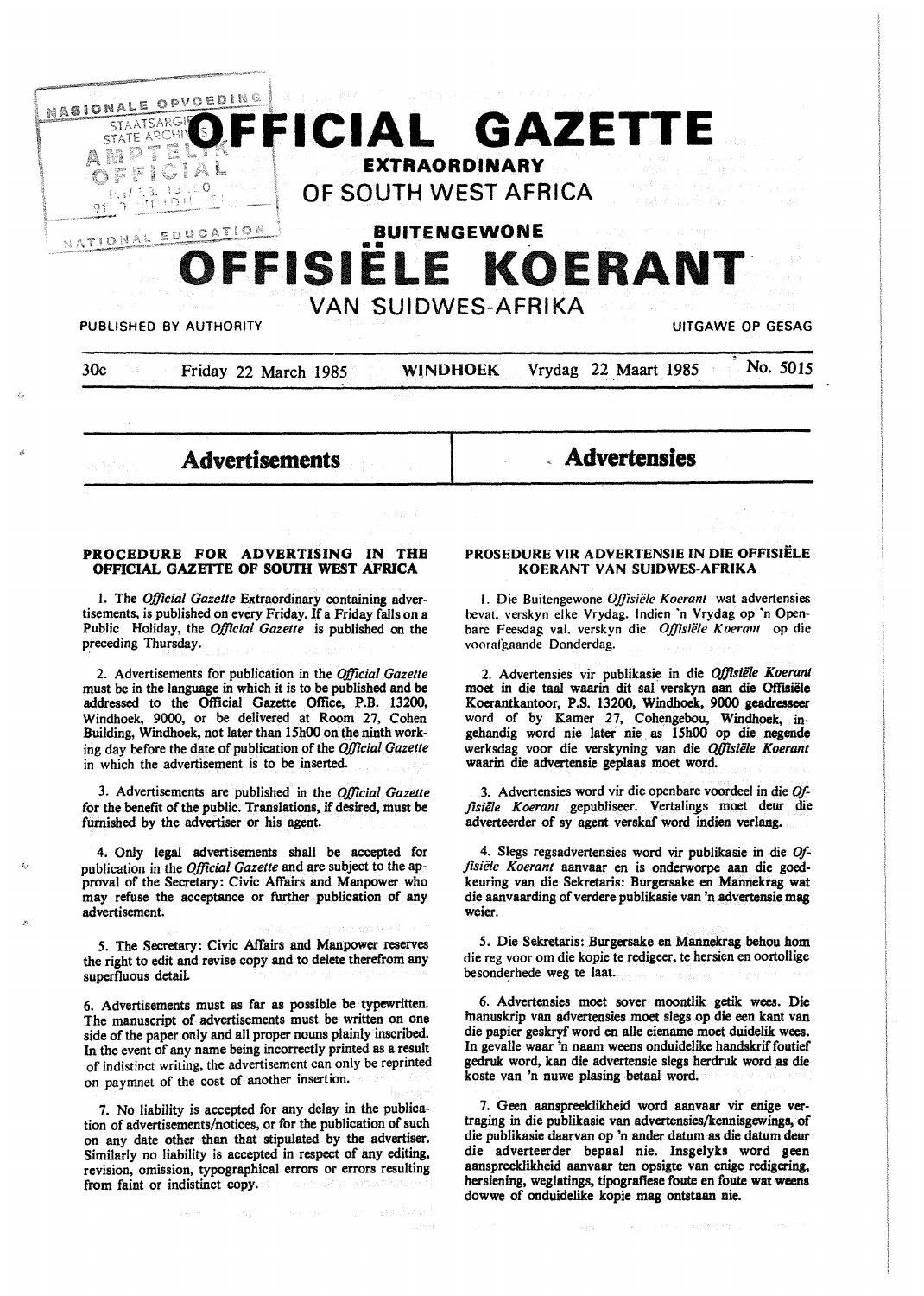

**Advertisements** 

# **Advertensies**

### **PROCEDURE FOR ADVERTISING IN THE OFFICIAL GAZEITE OF SOUTH WEST AFRICA**

I. The *Official Gazette* Extraordinary containing advertisements, is published on every Friday. If a Friday falls on a Public Holiday, the *Official Gazette* is published on the preceding Thursday.

2. Advertisements for publication in the *Official Gazette*  must be in the language in which it is to be published and be addressed to the Official Gazette Office, P.B. 13200, Windhoek, 9000, or be delivered at Room 27, Cohen Building, Windhoek, not later than 15h00 on the ninth working day before the date of publication of the *Official Gazette*  in which the advertisement is to be inserted.

3. Advertisements are published in the *Official Gazelle*  for the benefit of the public. Translations, if desired, must be furnished by the advertiser or his agent.

4. Only legal advertisements shall be accepted for publication in the *Official Gazette* and are subject to the approval of the Secretary: Civic Affairs and **Manpower** who may refuse the acceptance or further publication of any advertisement.

*5.* The Secretary: Civic Affairs and Manpower reserves the right to edit and revise copy and to delete therefrom any superfluous detail.

6. Advertisements must as far as possible be typewritten. The manuscript of advertisements must be written on one side of the paper only and all proper nouns plainly inscribed. In the event of any name being incorrectly printed as a result of indistinct writing, the advertisement can only be reprinted on paymnet of the cost of another insertion.

7. No liability is accepted for any delay in the publication of advertisements/notices, or for the publication of such on any date other than that stipulated by the advertiser. Similarly no liability is accepted in respect of any editing, revision, omission, typographical errors or errors resulting from faint or indistinct copy.

### **PROSEDURE VIR ADVERTENSIE IN DIE OFFISIELE KOERANT VAN SUIDWES-AFRIKA**

I. Die Buitengewone *Offisie/e Koerant* wat advertensies hevat. verskyn elke Vrydag. lndien "n Vrydag op "n Openbare Feesdag val. verskyn die *Offisiële Koerant* op die voorafgaande Donderdag.

2. Advertensies vir publikasie in die *Offislile Koeranl*  moet in die taal waarin dit sal verskyn aan die Offisiële Koerantkantoor, P.S. 13200, Windhoek, 9000 geadresseer word of by Kamer 27, Cohengebou, Windhoek, ingehandig word nie later nie as 15h00 op die negende werksdag voor die verskyning van die *Offisiele Koerant*  waarin die advertensie geplaas moet word.

3. Advertensies word vir die openbare voordeel in die *Offisiele Koerant* gepubliseer. Vertalin\_gs moet deur die adverteerder of sy agent verskaf word indien **verlang.** 

4. Slegs regsadvertensies word vir publikasie in die *Offisie/e Koerant* aanvaar en is onderworpe aan die goedkeuring van die Sekretaris: Burgersake en Mannekrag wat die aanvaarding of verdere publikasie van 'n advertensie mag weier.

*5.* Die Sekretaris: Burgersake en Mannekrag behou hom die reg voor om die kopie te redigeer, te hersien en oortollige besonderhede weg te laat.

6. Advertensies moet sover moontlik getik wees. Die fnanuskrip van advertensies moet slegs op die een kant van die papier geskryf word en alle eiename moet duidelik wees. In gevalle waar 'n naam weens onduidelike handskrif foutief gedruk word, kan die advertensie slegs herdruk word as die koste van 'n nuwe plasing betaal word.

7. Geen aanspreeklikheid word aanvaar vir enige vertraging in die publikasie van advertensies/kennisgewings, of die publikasie daarvan op 'n ander datum as die datum deur die adverteerder bepaal nie. Insgelyks word geen aanspreeklikheid aanvaar ten opsigte van enige redigering, hersiening, weglatings, tipografiese foute en foute **wat weens**  dowwe of onduidelike kopie mag ontstaan nie.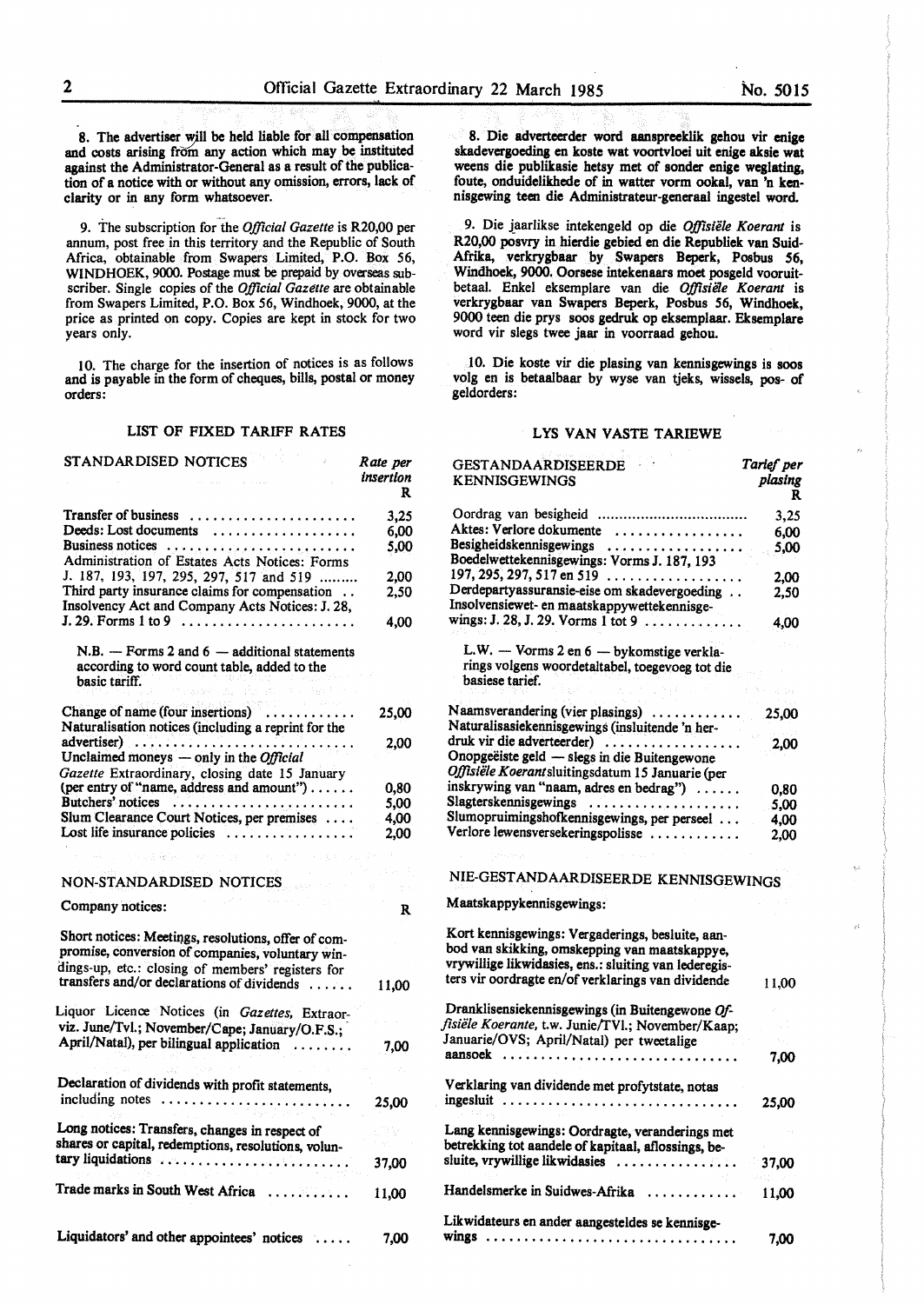8. The advertiser will be held liable for all compensation and costs arising from any action which may be instituted against the Administrator-General as a result of the publication of a notice with or without any omission, errors, lack of clarity or in any form whatsoever.

9. The subscription for the *Official Gazette* is R20,00 per annum, post free in this territory and the Republic of South Africa, obtainable from Swapers Limited, P.O. Box 56, WINDHOEK, 9000. Postage must be prepaid by overseas subscriber. Single copies of the *Official Gazette* are obtainable from Swapers Limited, P.O. Box 56, Windhoek, 9000, at the price as printed on copy. Copies are kept in stock for two years only.

IO. The charge for the insertion of notices is as follows and is payable in the form of cheques, bills, postal or money orders:

### LIST OF FIXED TARIFF RATES

| STANDAR DISED NOTICES                                                                                                                                                                                                          | Rate per<br>insertion<br>R |
|--------------------------------------------------------------------------------------------------------------------------------------------------------------------------------------------------------------------------------|----------------------------|
|                                                                                                                                                                                                                                |                            |
|                                                                                                                                                                                                                                | 3,25                       |
| Deeds: Lost documents                                                                                                                                                                                                          | 6.00                       |
| Business notices                                                                                                                                                                                                               | 5,00                       |
| Administration of Estates Acts Notices: Forms                                                                                                                                                                                  |                            |
| J. 187, 193, 197, 295, 297, 517 and 519                                                                                                                                                                                        | 2,00                       |
| Third party insurance claims for compensation<br>Insolvency Act and Company Acts Notices: J. 28,                                                                                                                               | 2,50                       |
| $J. 29.$ Forms 1 to 9                                                                                                                                                                                                          | 4,00                       |
| $N.B. - Forms 2 and 6 - additional statements$<br>according to word count table, added to the<br>basic tariff.                                                                                                                 |                            |
|                                                                                                                                                                                                                                |                            |
| Change of name (four insertions)<br>Naturalisation notices (including a reprint for the                                                                                                                                        | 25,00                      |
| advertiser)<br>Unclaimed moneys - only in the Official                                                                                                                                                                         | 2,00                       |
| Gazette Extraordinary, closing date 15 January                                                                                                                                                                                 |                            |
| (per entry of "name, address and amount")                                                                                                                                                                                      | 0,80                       |
| Butchers' notices                                                                                                                                                                                                              | 5,00                       |
| Slum Clearance Court Notices, per premises                                                                                                                                                                                     | 4,00                       |
| Lost life insurance policies                                                                                                                                                                                                   | 2,00                       |
| the contribution of the contribution of the contribution of the contribution of the contribution of the contribution of the contribution of the contribution of the contribution of the contribution of the contribution of th |                            |
|                                                                                                                                                                                                                                |                            |
| NON-STANDARDISED NOTICES                                                                                                                                                                                                       |                            |
| Company notices:                                                                                                                                                                                                               | R                          |
| Short notices: Meetings, resolutions, offer of com-<br>promise, conversion of companies, voluntary win-<br>dings-up, etc.: closing of members' registers for                                                                   |                            |
| transfers and/or declarations of dividends                                                                                                                                                                                     | 11,00                      |
| Liquor Licence Notices (in Gazettes, Extraor-<br>viz. June/Tvl.; November/Cape; January/O.F.S.;                                                                                                                                |                            |
| April/Natal), per bilingual application                                                                                                                                                                                        |                            |
|                                                                                                                                                                                                                                | 7.00                       |
|                                                                                                                                                                                                                                |                            |
| Declaration of dividends with profit statements,                                                                                                                                                                               |                            |
| including notes                                                                                                                                                                                                                | 25,00                      |
| Long notices: Transfers, changes in respect of                                                                                                                                                                                 | 732                        |
| shares or capital, redemptions, resolutions, volun-                                                                                                                                                                            |                            |
| tary liquidations                                                                                                                                                                                                              | 37,00                      |
|                                                                                                                                                                                                                                |                            |
| Trade marks in South West Africa                                                                                                                                                                                               | 11,00                      |
| Liquidators' and other appointees' notices                                                                                                                                                                                     | 7.00                       |

8. Die adverteerder word aanspreeklik gehou vir **enige**  skadevergoeding en koste wat voortvloei uit enige **aksie wat**  weens die publikasie hetsy met of sonder enige weglating, foute, onduidelikhede of in watter vorm ookal, van 'n kennisgewing teen die Administrateur-generaal ingestel word.

9. Die jaarlikse intekengeld op die *Offisiële Koerant* is R20,00 posvry in hierdie gebied en die Republiek van Suid-Afrika, verkrygbaar by Swapers Beperk, Posbus *56,*  Windhoek, 9000. Oorsese intekenaars moet posgeld vooruitbetaal. Enkel eksemplare van die *Ojfisiele Koerant* is verkrygbaar van Swapers Beperk, Posbus 56, Windhoek, 9000 teen die prys soos gedruk op eksemplaar. Eksemplare word vir slegs twee jaar in voorraad gehou.

l 0. Die koste vir die plasing van kennisgewings is soos volg en is betaalbaar by wyse van tjeks, wissels, pos- of geldorders:

### LYS VAN VASTE TARIEWE

| <b>GESTANDAARDISEERDE</b><br><b>KENNISGEWINGS</b>                                                                                                                                                                | Tarief per<br>plasing<br>R |
|------------------------------------------------------------------------------------------------------------------------------------------------------------------------------------------------------------------|----------------------------|
| Oordrag van besigheid                                                                                                                                                                                            | 3,25                       |
| Aktes: Verlore dokumente                                                                                                                                                                                         | 6,00                       |
| Besigheidskennisgewings                                                                                                                                                                                          | 5,00                       |
| Boedelwettekennisgewings: Vorms J. 187, 193                                                                                                                                                                      |                            |
| 197, 295, 297, 517 en 519<br>Derdepartyassuransie-eise om skadevergoeding                                                                                                                                        | 2.00                       |
| Insolvensiewet- en maatskappywettekennisge-<br>wings: J. 28, J. 29. Vorms 1 tot 9                                                                                                                                | 2,50<br>4.00               |
|                                                                                                                                                                                                                  |                            |
| L.W. - Vorms 2 en 6 - bykomstige verkla-<br>rings volgens woordetaltabel, toegevoeg tot die                                                                                                                      |                            |
| basiese tarief.                                                                                                                                                                                                  |                            |
|                                                                                                                                                                                                                  |                            |
| Naamsverandering (vier plasings)<br>Naturalisasiekennisgewings (insluitende 'n her-                                                                                                                              | 25,00                      |
| druk vir die adverteerder)                                                                                                                                                                                       |                            |
| Onopgeëiste geld - slegs in die Buitengewone<br>Offisiële Koerantsluitingsdatum 15 Januarie (per                                                                                                                 | 2,00                       |
| inskrywing van "naam, adres en bedrag")                                                                                                                                                                          | 0,80                       |
| Slagterskennisgewings                                                                                                                                                                                            | 5,00                       |
| Slumopruimingshofkennisgewings, per perseel                                                                                                                                                                      | 4.00                       |
| Verlore lewensversekeringspolisse                                                                                                                                                                                | 2,00                       |
|                                                                                                                                                                                                                  |                            |
| NIE-GESTANDAARDISEERDE KENNISGEWINGS                                                                                                                                                                             |                            |
| Maatskappykennisgewings:                                                                                                                                                                                         |                            |
| Kort kennisgewings: Vergaderings, besluite, aan-<br>bod van skikking, omskepping van maatskappye,<br>vrywillige likwidasies, ens.: sluiting van lederegis-<br>ters vir oordragte en/of verklarings van dividende | 11,00                      |
| Dranklisensiekennisgewings (in Buitengewone Of-                                                                                                                                                                  |                            |
| fisiële Koerante, t.w. Junie/TVl.; November/Kaap;                                                                                                                                                                |                            |
| Januarie/OVS; April/Natal) per tweetalige                                                                                                                                                                        |                            |
| aansoek                                                                                                                                                                                                          | 7,00                       |
| Verklaring van dividende met profytstate, notas                                                                                                                                                                  |                            |
| ingesluit                                                                                                                                                                                                        | 25,00                      |
| Lang kennisgewings: Oordragte, veranderings met<br>betrekking tot aandele of kapitaal, aflossings, be-                                                                                                           |                            |
| sluite, vrywillige likwidasies                                                                                                                                                                                   | 37,00                      |
| Handelsmerke in Suidwes-Afrika                                                                                                                                                                                   | 11,00                      |
| Likwidateurs en ander aangesteldes se kennisge-                                                                                                                                                                  | 7,00                       |
|                                                                                                                                                                                                                  |                            |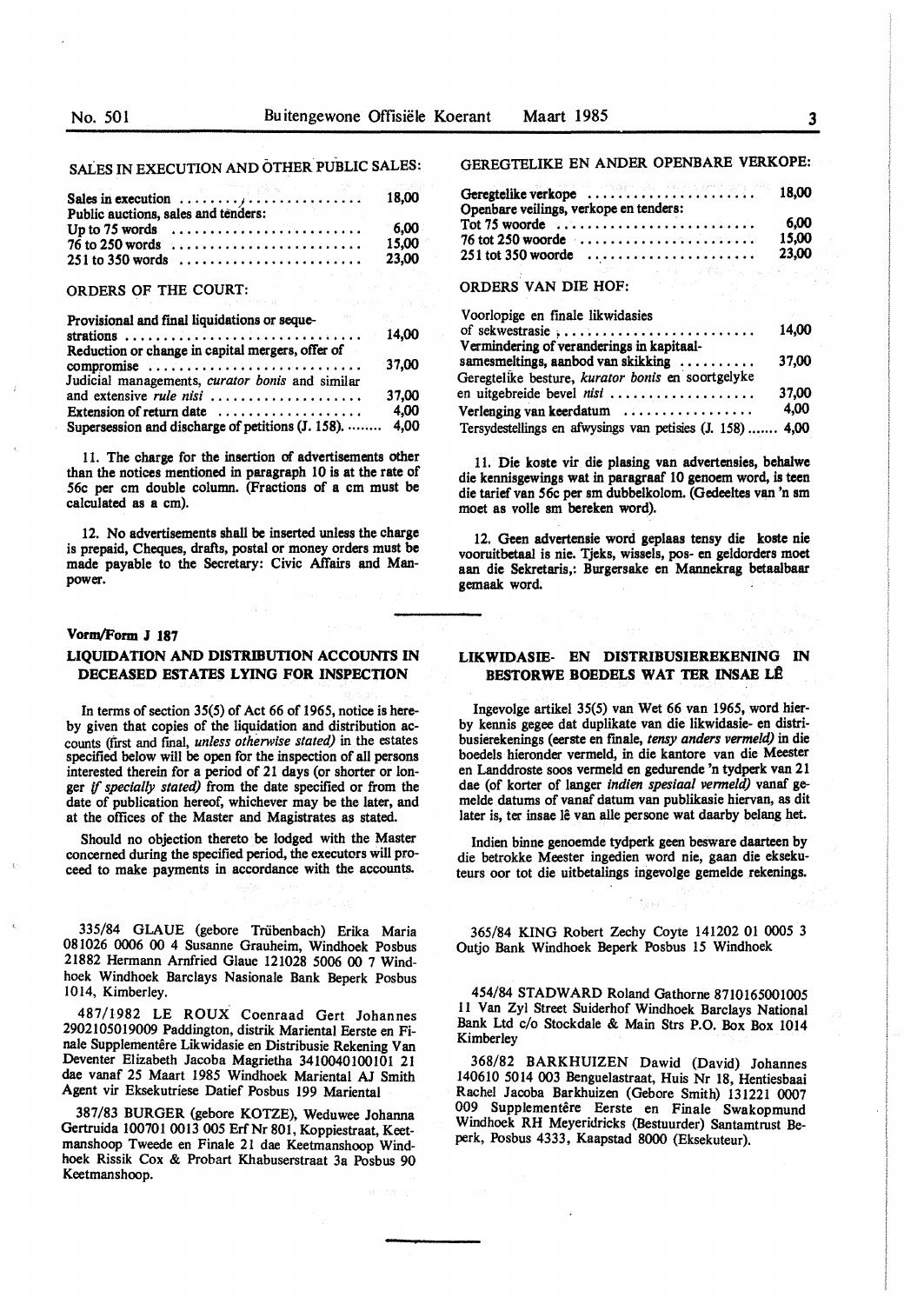SALES IN EXECUTION AND OTHER PUBLIC SALES:

|                                     | Sales in execution $\ldots \ldots \ldots \ldots \ldots \ldots$                                                                          | 18,00         |
|-------------------------------------|-----------------------------------------------------------------------------------------------------------------------------------------|---------------|
| Public auctions, sales and tenders: |                                                                                                                                         |               |
|                                     | Up to 75 words $\dots \dots \dots \dots \dots \dots \dots \dots$<br>$76$ to 250 words $\dots \dots \dots \dots \dots \dots \dots \dots$ | 6.00<br>15.00 |
|                                     | $251$ to 350 words                                                                                                                      | 23.00         |

### ORDERS OF THE COURT:

| Provisional and final liquidations or seque-     |       |
|--------------------------------------------------|-------|
|                                                  | 14.00 |
| Reduction or change in capital mergers, offer of |       |

| compromise $\ldots \ldots \ldots \ldots \ldots \ldots \ldots \ldots$ | 37.00 |
|----------------------------------------------------------------------|-------|
| Judicial managements, curator bonis and similar                      |       |
| and extensive <i>rule nisi</i>                                       | 37.00 |
| Extension of return date $\dots\dots\dots\dots\dots\dots\dots$       | 4.00  |
| Supersession and discharge of petitions (J. 158).  4,00              |       |

11. The charge for the insertion of advertisements other than the notices mentioned in paragraph 10 is at the rate of 56c per cm double column. (Fractions of a cm must be calculated as a cm).

12. No advertisements shall be inserted unless the **charge**  is prepaid, Cheques, drafts, postal or money orders must be made payable to the Secretary: Civic Affairs and Manpower.

### **Vom,/Form** *l* **187**

### **LIQUIDATION AND DISTRIBUTION ACCOUNI'S IN DECEASED ESTATES LYING FOR INSPECTION**

In terms of section 35(5) of Act 66 of 1965, notice is hereby given that copies of the liquidation and distribution accounts (first and final, *unless otherwise stated)* in the estates specified below will be open for the inspection of all persons interested therein for a period of 21 days (or shorter or longer if *specially stated)* from the date specified or from the date of publication hereof, whichever may be the later, and at the offices of the Master and Magistrates aa stated.

Should no objection thereto be lodged with the Master concerned during the specified period, the executors will proceed to make payments in accordance with the accounts.

335/84 GLAUE (gebore Triibenbach) Erika Maria 081026 0006 00 4 Susanne Grauheim, Windhoek Posbus 21882 Hermann Amfried Glaue 121028 5006 00 7 Windhoek Windhoek Barclays Nasionale Bank Beperk Posbus 1014, Kimberley.

487/1982 LE ROUX Coenraad Gert Johannes 2902105019009 Paddington, distrik Mariental Eerste en Finale Supplementêre Likwidasie en Distribusie Rekening Van Deventer Elizabeth Jacoba Magrietha 3410040100101 21 dae vanaf 25 Maart 1985 Windhoek Mariental AJ Smith Agent vir Eksekutriese Datief Posbus 199 Mariental

387/83 BURGER (gebore KOTZE), Weduwee Johanna Gertruida 100701 0013 005 Erf Nr 801, Koppiestraat, Keetmanshoop Tweede en Finale 21 dae Keetmanshoop Windhoek Rissik Cox & Probart Khabuserstraat 3a Posbus 90 Keetmanshoop.

GEREGTELIKE EN ANDER OPENBARE VERKOPE:

| Openbare veilings, verkope en tenders:                          |                |
|-----------------------------------------------------------------|----------------|
| $76$ tot 250 woorde $\ldots \ldots \ldots \ldots \ldots \ldots$ | -6.00<br>15.00 |
| $251$ tot 350 woorde                                            | 23.00          |

# ORDERS VAN DIE HOF:

| Voorlopige en finale likwidasies                                   |       |
|--------------------------------------------------------------------|-------|
| of sekwestrasie $\ldots \ldots \ldots \ldots \ldots \ldots \ldots$ | 14,00 |
| Vermindering of veranderings in kapitaal-                          |       |
| samesmeltings, aanbod van skikking                                 | 37.00 |
| Geregtelike besture, kurator bonis en soortgelyke                  |       |
| en uitgebreide bevel nisi                                          | 37.00 |
| Verlenging van keerdatum                                           | 4,00  |
| Tersydestellings en afwysings van petisies (J. 158)  4,00          |       |

11. Die koste vir die plasing van advertensies, behalwe die kennisgewings wat in paragraaf 10 genoem word, is teen die tarief van 56c per sm dubbelkolom. (Gedeeltes van 'n sm moet as volle sm bereken word).

12. Geen advertensie word geplaas tensy die koste nie vooruitbetaal is nie. Tjeks, wissels, pos- en geldorders moet aan die Sekretaris,: Burgersake en Mannekrag betaalbaar gemaak word.

### **LIKWIDASIE- EN DISTRIBUSIEREKENING** IN **BESTORWE BOEDELS WAT TER INSAE LÊ**

Ingevolge artikel 35(5) van Wet 66 van 1965, word bierby kennis gegee dat duplikate van die likwidasie- en distribusierekenings (eerste en finale, *tensy anders vermeld)* in die boedels hieronder vermeld, in die kantore van die Meester en Landdroste soos vermeld en gedurende 'n tydperk van 21 dae (of korter of langer *indien spesiaal venneld)* vanaf gemelde datums of vanaf datum van publikasie hiervan, as dit later is, ter insae lê van alle persone wat daarby belang het.

Indien binne genoemde tydperk geen besware daarteen by die betrokke Meester ingedien word nie, gaan die eksekuteurs oor tot die uitbetalings ingevolge gemelde rekenings.

365/84 **KING** Robert Zechy Coyte 141202 01 0005 3 Outjo Bank Windhoek Beperk Posbus 15 Windhoek

454/84 STADWARD Roland Gathorne 8710165001005 11 Van Zyl Street Suiderhof Windhoek Barclays National Bank Ltd c/o Stockdale & Main Strs P.O. Box Box 1014 Kimberley

368/82 BARKHUIZEN Dawid (David) Johannes 140610 5014 003 Benguelastraat, Huis Nr 18, Hentiesbaai Rachel Jacoba Barkhuizen (Gebore Smith) 131221 0007 009 Supplementêre Eerste en Finale Swakopmund Windhoek RH Meyeridricks (Bestuurder) Santamtrust Beperk, Posbus 4333, Kaapstad 8000 (Eksekuteur).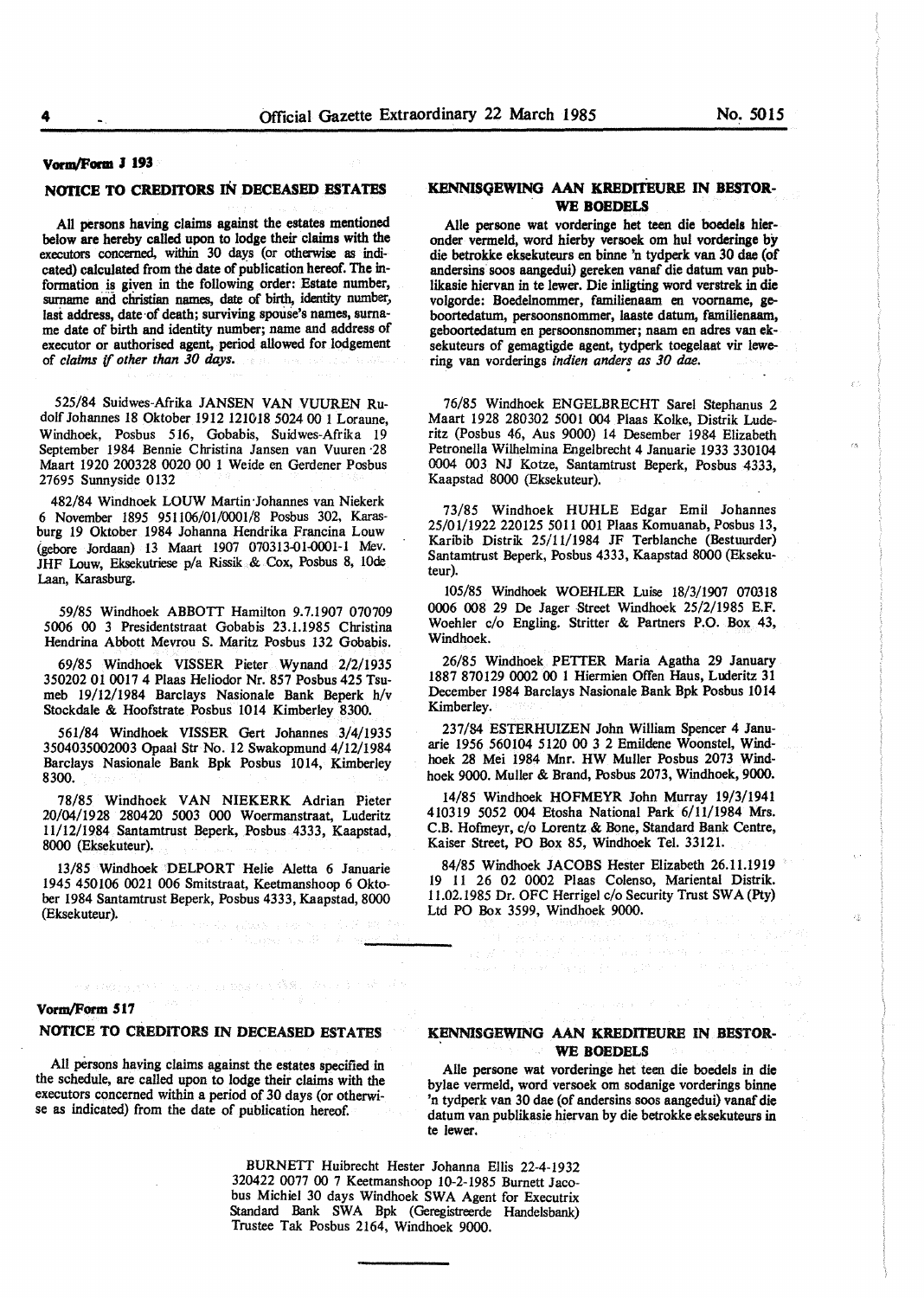έt

7h

 $\chi^{\pm}_{\rm As}$ 

# Vorm/Form J 193

## **NOTICE TO CREDITORS** IN **DECEASED ESTATES**

All persons having claims against the estates mentioned below are hereby called upon to lodge their claims with the executors concerned, within 30 days (or otherwise as indicated) calculated from the date of publication hereof. The information is given in the following order: Estate number, surname and christian names, date of birth, identity number, last address, date of death; surviving spouse's names, surname date of birth and identity number; name and address of executor or authorised agent, period allowed for lodgement of *claims (/ other than 30* days.

525/84 Suidwes-Afrika JANSEN VAN VUUREN Rudolf Johannes 18 Oktober 1912 121018 5024 00 I Loraune, Windhoek, Posbus 516, Gobabis, Suidwes-Afrika 19 September 1984 Bennie Christina Jansen van Vuuren ·28 Maart 1920 200328 0020 00 1 Weide en Gerdener Posbus 27695 Sunnyside 0132

482/84 Windhoek LOUW Martin·Johannes van Niekerk 6 November 1895 951106/01/0001/8 Posbus 302, Karasburg 19 Oktober 1984 Johanna Hendrika Francina Louw (gebore Jordaan) 13 Maart 1907 070313-01-0001-1 Mev. JHF Louw, Eksekutriese p/a Rissik & Cox, Posbus 8, lOde Laan, Karasburg.

59/85 Windhoek ABBOTT Hamilton 9.7.1907 070709 5006 00 3 Presidentstraat Gobabis 23.1.1985 Christina Hendrina Abbott Mevrou S. Maritz Posbus 132 Gobabis.

69/85 Windhoek VISSER Pieter Wynand 2/2/1935 350202 01 0017 4 Plaas Heliodor Nr. 857 Posbus 425 Tsumeb 19/12/1984 Barclays Nasionale Bank Beperk h/v Stockdale & Hoofstrate Posbus 1014 Kimberley 8300.

561/84 Windhoek VISSER Gert Johannes 3/4/1935 3504035002003 Opaal Str No. 12 Swakopmund 4/12/1984 Barclays Nasionale Bank Bpk Posbus 1014, Kimberley 8300.

78/85 Windhoek VAN NIEKERK Adrian Pieter 20/04/1928 280420 5003 000 Woermanstraat, Luderitz 11/12/1984 Santamtrust Beperk, Posbus 4333, Kaapstad, 8000 (Eksekuteur).

13/85 Windhoek DELPORT Helie Aletta 6 Januarie 1945 450106 0021 006 Smitstraat, Keetmanshoop 6 Oktober 1984 Santamtrust Beperk, Posbus 4333, Kaapstad, 8000 (Eksekuteur).

## **KENNISQEWING AAN KREDITEURE** IN **BESTOR.-** . **WE BOEDELS**

Aile persone wat vorderinge bet teen die boedels hieronder vermeld, word hierby versoek om hul vorderinge by die betrokke eksekuteurs en binne 'n tydperk van 30 dae (of andersins soos aangedui) gereken vanaf die datum van publikasie hiervan in te lewer. Die inligting word verstrek in die volgorde: Boedelnommer, familienaam en voorname, **ge**boortedatum, persoonsnommer, laaste datum, familienaam, geboortedatum en persoonsnommer; naam en adres van eksekuteurs of gemagtigde agent, tydperk toegelaat vir lewering van vorderings *indien anders as 30 dae*.

76/85 Windhoek ENGELBRECHT Sare! Stephanus 2 Maart 1928 280302 5001 004 Plaas Kolke, Distrik Luderitz (Posbus 46, Aus 9000) 14 Desember 1984 Elizabeth Petronella Wilhelmina Engelbrecht 4 Januarie 1933 330104 0004 003 NJ Kotze, Santamtrust Beperk, Posbus 4333, Kaapstad 8000 (Eksekuteur).

73/85 Windhoek HUHLE Edgar Emil Johannes 25/01/1922 220125 5011 001 Plaas Komuanab, Posbus 13, Karibib Distrik 25/11/1984 JF Terblanche (Bestuurder) Santamtrust Beperk, Posbus 4333, Kaapstad 8000 (Eksekuteur).

105/85 Windhoek WOEHLER Luise 18/3/1907 070318 0006 008 29 De Jager Street Windhoek 25/2/1985 E.F. Woehler c/o Engling. Stritter & Partners P.O. Box 43, Windhoek.

26/85 Windhoek PETTER Maria Agatha 29 January 1887 870129 0002 00 1 Hiermien Offen Haus, Luderitz 31 December 1984 Barclays Nasionale Bank Bpk Posbus 1014 Kimberley.

237/84 ESTERHUIZEN John William Spencer 4 Januarie 1956 560104 5120 00 3 2 Emildene Woonstel, **Wind**hoek 28 Mei 1984 Mnr. HW Muller Posbus 2073 Windhoek 9000. Muller & Brand, Posbus 2073, Windhoek, 9000.

14/85 Windhoek HOFMEYR John Murray 19/3/1941 410319 5052 004 Etosha National Park 6/11/1984 Mrs. C.B. Hofmeyr, c/o Lorentz & Bone, Standard Bank Centre, Kaiser Street, PO Box 85, Windhoek Tel. 33121.

84/85 Windhoek JACOBS Hester Elizabeth 26.11.1919 19 11 26 02 0002 Plaas Colenso, Mariental Distrik. 11.02.1985 Dr. OFC Herrigel c/o Security Trust SW A (Pty) Ltd PO Box 3599, Windhoek 9000.

#### Vorm/Form 517

## **NOTICE TO CR.EDITORS IN DECEASED ESTATES**

化氟硅酸医溴酸盐 化氯化物 医曲线破伤风 藤酸二异戊二苯二胺

All persons having claims against the estates specified in the schedule, are called upon to lodge their claims with the executors concerned within a period of 30 days (or otherwise as indicated) from the date of publication hereof.

## **KENNISGEWING AAN KREDITEUR.E** IN **BESTOR.- WE BOEDELS**

e provincia de la Ro

Aile persone wat vorderinge het teen die boedels in die bylae vermeld, word versoek om sodanige vorderings binne 'n tydperk van 30 dae (of andersins soos aangedui) vanaf die datum van publikasie hiervan by die betrokke eksekuteurs in te lewer.

BURNETT Huibrecht Hester Johanna Ellis 22-4-1932 320422 0077 00 7 Keetmanshoop 10-2-1985 Burnett Jacobus Michiel 30 days Windhoek SWA Agent for Executrix Standard Bank SWA Bpk (Geregistreerde Handelsbank) Trustee Tak Posbus 2164, Windhoek 9000.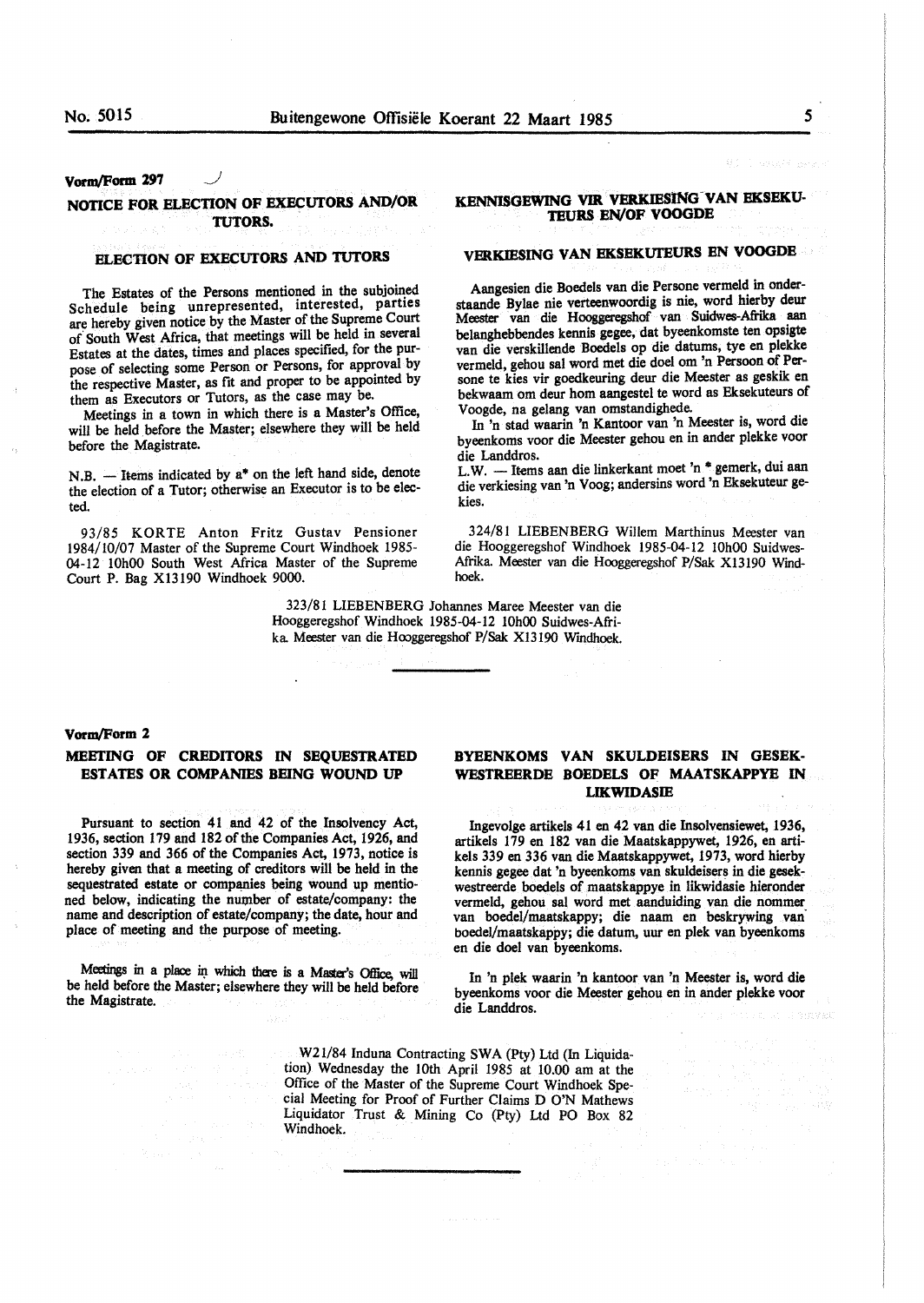# Vorm/Form 297

# **NOTICE FOR ELECTION OF EXECUTORS AND/OR TUTORS.**

### **ELECTION OF EXECUTORS AND TUTORS**

The Estates of the Persons mentioned in the subjoined Schedule being unrepresented, interested, parties are hereby given notice by the Master of the Supreme Court of South West Africa, that meetings will be held in several Estates at the dates, times and places specified, for the purpose of selecting some Person or Persons, for approval by the respective Master, as fit and proper to be appointed by them as Executors or Tutors, as the case may be.

Meetings in a town in which there is a Master's Office, will be held before the Master; elsewhere they will be held before the Magistrate.

 $N.B.$  - Items indicated by  $a^*$  on the left hand side, denote the election of a Tutor; otherwise an Executor is to be elected.

93/85 KORTE Anton Fritz Gustav Pensioner 1984/10/07 Master of the Supreme Court Windhoek 1985- 04-12 10h00 South West Africa Master of the Supreme Court P. Bag Xl3190 Windhoek 9000.

> 323/81 LIEBENBERG Johannes Maree Meester van die Hooggeregshof Windhoek 1985-04-12 10h00 Suidwes-Afrika. Meester van die Hooggeregshof P/Sak XI3190 Windhoek.

### **Vorm/Form 2**

## **MEETING OF CREDITORS** IN **SEQUESTRATED ESTATES OR COMPANIES BEING WOUND UP**

Pursuant to section 41 and 42 of the Insolvency Act, 1936, section 179 and 182 of the Companies Act, 1926, and section 339 and 366 of the Companies Act, 1973, notice is hereby given that a meeting of creditors will be held in the sequestrated estate or companies being wound up mentioned below, indicating the number of estate/company: the name and description of estate/company; the date, hour and place of meeting and the purpose of meeting.

Meetings in a place in which there is a Master's Office, will be held before the Master; elsewhere they will be held before the Magistrate.

# **BYEBNKOMS VAN SKULDEISERS IN GESEK-WESTREERDE BOEDELS OF MAATSKAPPYE IN LIKWIDASIB**

Ingevolge artikels 41 en 42 van die Insolvensiewet, 1936, artikels 179 en 182 van die Maatskappywet, 1926, en artikels 339 en 336 van die Maatskappywet, 1973, word hierby kennis **gegee** dat 'n byeenkoms van skuldeisers in die **gesek**westreerde boedels of maatskappye in likwidasie hieronder vermeld, gehou sal word met aanduiding van die nommer van boedel/maatskappy; die naam en beskrywing van· boedel/maatskappy; die datum, uur en plek van byeenkoms en die doe! van byeenkoms.

In 'n plek waarin 'n kantoor van 'n Meester is, word die byeenkoms voor die Meester gehou en in ander plekke voor die Landdros.

.W21/84 Induna Contracting SWA (Pty) Ltd (In Liquidation) Wednesday the 10th April 1985 at 10.00 am at the Office of the Master of the Supreme Court Windhoek Special Meeting for Proof of Further Claims D O'N Mathews Liquidator Trust & Mining Co (Pty) Ltd PO Box 82 Windhoek.

# **KENNISGEWING VIR VERKJESlNG-VAN BKSEKU-TEURS EN/OF VOOGDE**

# **VERKIESING VAN EKSEKUTEURS EN VOOGDE**

Aangesien die Boedels van die Persone vermeld in onderstaande Bylae nie verteenwoordig is nie, word hierby deur Meester van die Hooggeregshof van Suidwes-Afrika aan belanghebbendes kennis gegee, dat byeenkomste ten opsigte van die verskillende Boedels op die datums, tye en plekke vermeld, gehou sal word met die doel om 'n Persoon of Persone te kies vir goedkeuring deur die Meester as geskik en bekwaam om deur horn aangestel te word as Eksekuteurs of V oogde, na gelang van omstandighede.

In 'n stad waarin 'n Kantoor van 'n Meester is, word die byeenkoms voor die Meester gehou en in ander plekke voor die Landdros.

L.W. - Items aan die linkerkant moet 'n \* gemerk, dui aan die verkiesing van 'n Voog; andersins word 'n Eksekuteur gekies.

324/81 LIEBENBERG Willem Marthinus Meester van die Hooggeregshof Windhoek 1985-04-12 10h00 Suidwes-Afrika. Meester van die Hooggeregshof P/Sak Xl3190 *Wmd*hoek.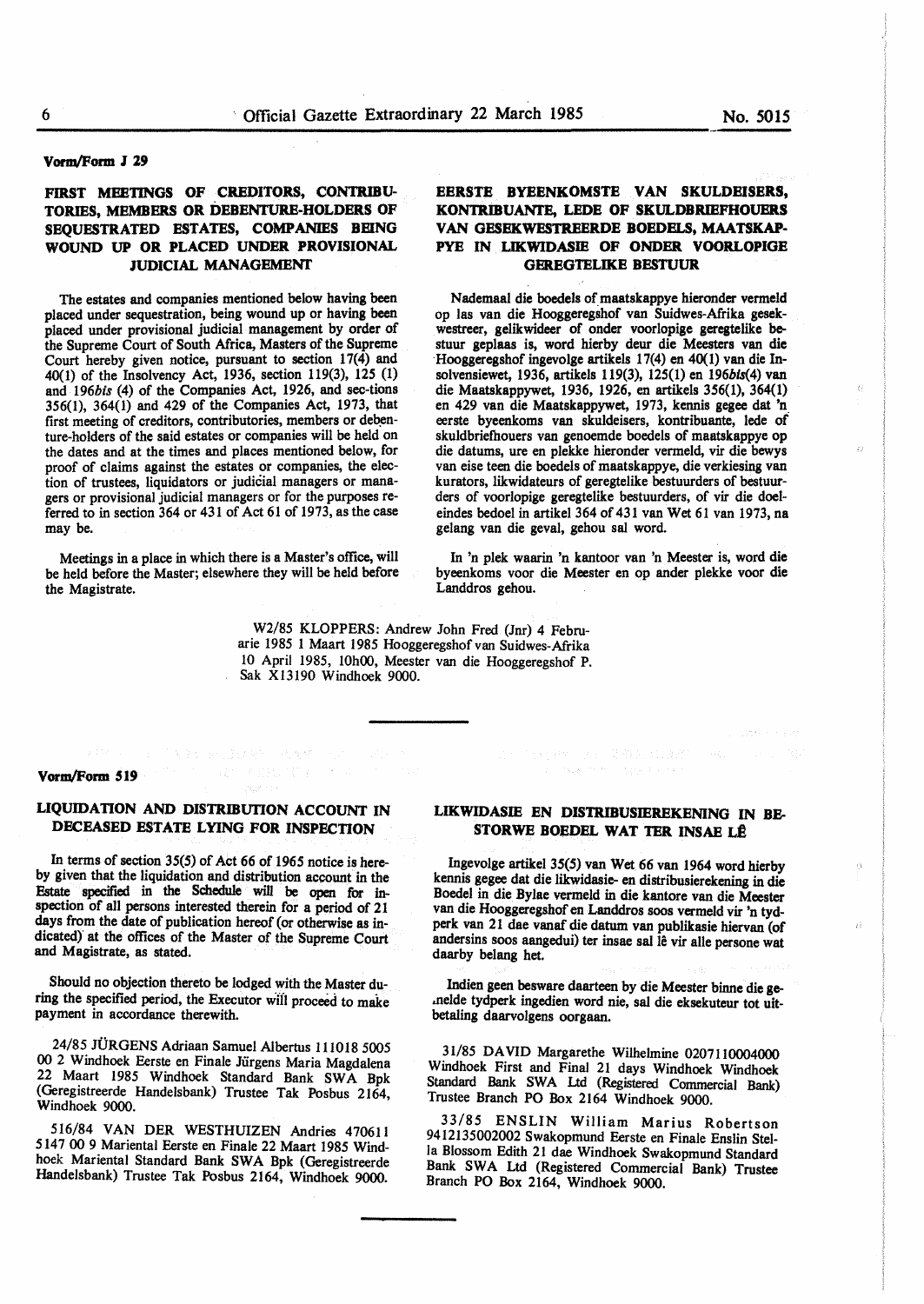## **Vorm/Form** *l* **29**

## **FIRST MEETINGS OF CREDITORS, CONTRIBU-TORIES, MEMBERS OR DEBENTURE-HOLDERS OF SEQUESTRATED ESTATES, COMPANIES BEING WOUND UP OR PLACED UNDER PROVISIONAL JUDICIAL MANAGEMENT**

The estates and companies mentioned below having been placed under sequestration, being wound up or having been placed under provisional judicial management by order of the Supreme Court of South Africa, Masters of the Supreme Court hereby given notice, pursuant to section  $17(4)$  and 40(1) of the Insolvency Act, 1936, section 119(3), 125 (1) and *196bis* (4) of the Companies Act, 1926, and sec-tions 356(1), 364(1) and 429 of the Companies Act, 1973, that first meeting of creditors, contributories, members or debenture-holders of the said estates or companies will be held on the dates and at the times and places mentioned below, for proof of claims against the estates or companies, the election of trustees, liquidators or judicial managers or managers or provisional judicial managers or for the purposes referred to in section 364 or 431 of Act 61 of 1973, as the case may be.

Meetings in a place in which there is a Master's office, will be held before the Master; elsewhere they will be held before the Magistrate.

# **EERSTE BYEENKOMSTE VAN SKULDEISERS, KONTRIBUANTE, LEDE OF SKULDBRIEFHOUERS VAN GESEKWESTREERDE BOEDELS, MAATSKAP-PYE IN LIKWIDASIE OF ONDER VOORLOPIGE GEREGTELIKE BESTUUR**

Nademaal die boedels of maatskappye hieronder vermeld op las van die Hooggeregshof van Suidwes-Afrika gesekwestreer, gelikwideer of onder voorlopige geregtelike bestuur geplaas is, word hierby deur die Meesters van die Hooggeregshof ingevolge artikels 17(4) en 40(1) van die Insolvensiewet, 1936, artikels 119(3), 125(1) en 196bis(4) van die Maatskappywet, 1936, 1926, en artikels 356(1), 364(1) en 429 van die Maatskappywet, 1973, kennis gegee dat 'n\_ eerste byeenkoms van skuldeisers, kontribuante, lede of skuldbriefhouers van genoemde boedels of maatskappye op die datums, ure en plekke hieronder vermeld, vir die bewys van eise teen die boedels of maatskappye, die verkiesing van kurators, likwidateurs of geregtelike bestuurders of bestuurders of voorlopige geregtelike bestuurders, of vir die doeleindes bedoel in artikel 364 of 431 van Wet 61 van 1973, na gelang van die geval, gehou sat word.

In 'n plek waarin 'n kantoor van 'n **Meester** is, word die byeenkoms voor die **Meester** en op ander plekke voor die Landdros gehou.

W2/85 KLOPPERS: Andrew John Fred (Jnr) 4 Februarie 1985 I Maart 1985 Hooggeregshofvan Suidwes-Afrika 10 April 1985, 10h00, Meester van die Hooggeregshof P. Sak X13190 Windhoek 9000.

## **Vorm/Form 519**

## **LIQUIDATION AND DISTRIBUTION ACCOUNT IN DECEASED ESTATE LYING FOR INSPECTION**

In terms of section 35(5) of Act 66 of 1965 notice is hereby given that the liquidation and distribution account in the Estate specified in the Schedule will be open for inspection of all persons interested therein for a period of 21 days from the date of publication hereof (or otherwise as indicated} at the offices of the Master of the Supreme Court and Magistrate, as stated.

Should no objection thereto be lodged with the **Master** during the specified period, the Executor will proceed to make payment in accordance therewith.

24/85 JURGENS Adriaan Samuel Albertus 111018 5005 **00** 2 Windhoek Eerste en Finale Jurgens Maria Magdalena 22 Maart 1985 Windhoek Standard Bank SWA Bpk (Geregistreerde Handelsbank) Trustee Tak Posbus 2164 Windhoek 9000.

516/84 VAN DER WESTHUIZEN Andries 470611 5147 00 9 Mariental Eerste en Finale 22 Maart 1985 Windhoek Mariental Standard Bank SWA Bpk (Geregistreerde Handelsbank) Trustee Tak Posbus 2164, Windhoek 9000.

# **LIKWIDASIE EN DISTRIBUSIEREKENING IN BE-STORWE BOEDEL WAT TER INSAE LÊ**

Ingevolge artikel 35(5) van Wet 66 van 1964 word hierby kennis **gegee** dat die likwidasie- en distribusierekening in die Boedel in die Bylae vermeld in die kantore van die Meester van die Hooggeregshof en Landdros soos vermeld vir 'n tydperk van 21 dae vanaf die datum van publikasie hiervan (of andersins soos aangedui) ter insae sal lê vir alle persone wat daarby belang het.

lndien geen besware daarteen by die Meester binne die ge- .nelde tydperk ingedien word nie, sat die eksekuteur tot uitbetaling daarvolgens oorgaan.

31/85 DAVID Margarethe Wilhelmine 0207110004000 Windhoek First and Final 21 days Windhoek Windhoek Standard Bank SWA Ltd (Registered Commercial Bank) Trustee Branch PO Box 2164 Windhoek 9000.

33/85 ENSLIN William Marius Robertson 9412135002002 Swakopmund Eerste en Finale Enslin Stella Blossom Edith 21 dae Windhoek Swakopmund Standard Bank SWA Ltd (Registered Commercial Bank) Trustee Branch PO Box 2164, Windhoek 9000.

 $\bar{\Omega}$ 

ó

 $\vec{\Omega}$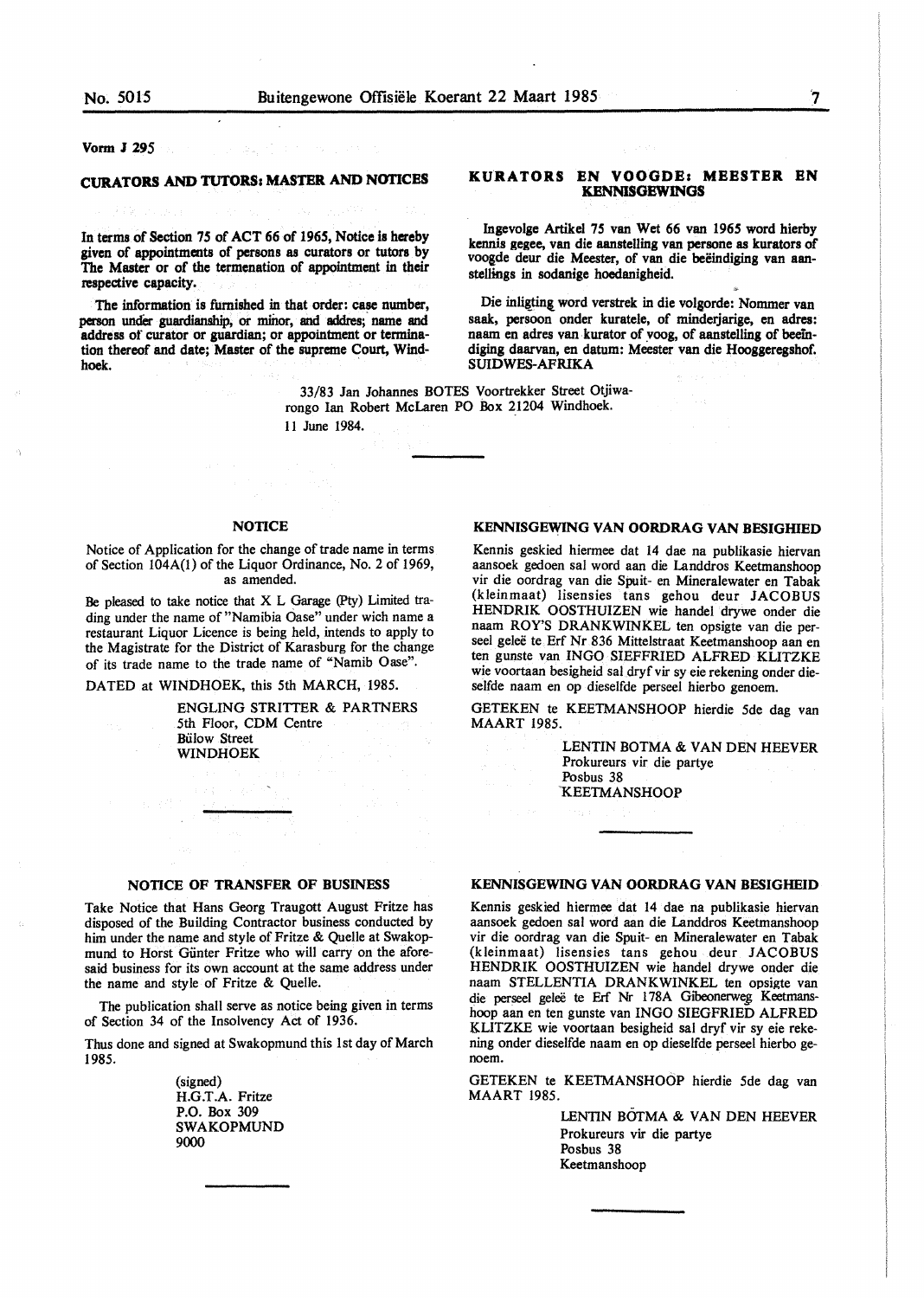Vonn J 295

## **CURATORS AND TUTORS: MASTER AND NOTICES**

In terms of Section *15* of ACT 66 of *1965,* Notice is hereby given of appointments of persons as curators or tutors by The Master or of the termenation of appointment in their respective capacity.

The information is furnished in that order: case number, person under guardianship, or minor, and addres; name and address or curator or guardian; or appointment or termination thereof and date; Master of the supreme Court, Windhoek. .

### **KURATORS EN VOOGDE: MEESTER EN KENNISGEWINGS**

Ingevolge Artikel 75 van Wet 66 van *1965* word hierby kennis gegee, van die aanstelling van persone as kurators of voogde deur die Meester, of van die beëindiging van aanstellings in sodanige hoedanigheid.

Die inligting word verstrek in die volgorde: Nommer van saak, persoon onder kuratele, of minderjarige, en adres: naam en adres van kurator of voog, of aanstelling of beeindiging daarvan, en datum: Meester van die Hooggeregshof. SUIDWES-AFRIKA

33/83 Jan Johannes BOTES Voortrekker Street Otjiwarongo Ian Robert McLaren PO Box 21204 Windhoek. 11 June 1984.

### **NOTICE**

Notice of Application for the change of trade name in terms of Section 104A(1) of the Liquor Ordinance, No. 2 of 1969, as amended.

Be pleased to take notice that X L Garage (Pty) Limited trading under the name of "Namibia Oase" under wich name a restaurant Liquor Licence is being held, intends to apply to the Magistrate for the District of Karasburg for the change of its trade name to the trade name of "Namib Oase".

DATED at WINDHOEK, this 5th MARCH, 1985.

ENGLING STRITTER & PARTNERS 5th Floor, CDM Centre **Bülow Street WINDHOEK** 

### **KENNISGEWING VAN OORDRAG VAN BESIGHIED**

Kennis geskied hiermee dat 14 dae na publikasie hiervan aansoek gedoen sal word aan die Landdros Keetrnanshoop vir die oordrag van die Spuit- en Mineralewater en Tabak (kleinmaat) lisensies tans gehou deur JACOBUS HENDRIK OOSTHUIZEN wie handel drywe onder die naam ROY'S DRANKWINKEL ten opsigte van die perseel geleë te Erf Nr 836 Mittelstraat Keetmanshoop aan en ten gunste van INGO SIEFFRIED ALFRED KLITZKE wie voortaan besigheid sal dryf vir sy eie rekening onder dieselfde naam en op dieselfde perseel hierbo genoem.

GETEKEN te KEETMANSHOOP hierdie Sde dag van MAART 1985.

> LENTIN BOTMA & VAN DEN HEEVER Prokureurs vir die partye Posbus 38 'KEETMANSHOOP

### **NOTICE OF TRANSFER OF BUSINESS**

Take Notice that Hans Georg Traugott August Fritze has disposed of the Building Contractor business conducted by him under the name and style of Fritze & Quelle at Swakopmund to Horst Giinter Fritze who will carry on the aforesaid business for its own account at the same address under the name and style of Fritze & Quelle.

The publication shall serve as notice being given in terms of Section 34 of the Insolvency Act of 1936.

Thus done and signed at Swakopmund this 1st day of March 1985.

> (signed) H.G.T.A. Fritze P.O. Box 309 SWAKOPMUND 9000

### KENNISGEWING VAN OORDRAG VAN BESIGHEID

Kennis geskied hiermee dat 14 dae na publikasie hiervan aansoek gedoen sal word aan die Landdros Keetrnanshoop vir die oordrag van die Spuit- en Mineralewater en Tabak (kleinmaat) lisensies tans gehou deur JACOBUS HENDRIK OOSTHUIZEN wie handel drywe onder die naam STELLENTIA DRANKWINKEL ten opsigte van die perseel geleë te Erf Nr 178A Gibeonerweg Keetmanshoop aan en ten gunste van INGO SIEGFRIED ALFRED KLITZKE wie voortaan besigheid sal dryf vir sy eie rekening onder dieselfde naam en op dieselfde perseel hierbo genoem.

GETEKEN te KEETMANSHOOP hierdie Sde dag van MAART 1985.

> LENTIN BOTMA & VAN DEN HEEVER Prokureurs vir die partye Posbus 38 Keetrnanshoop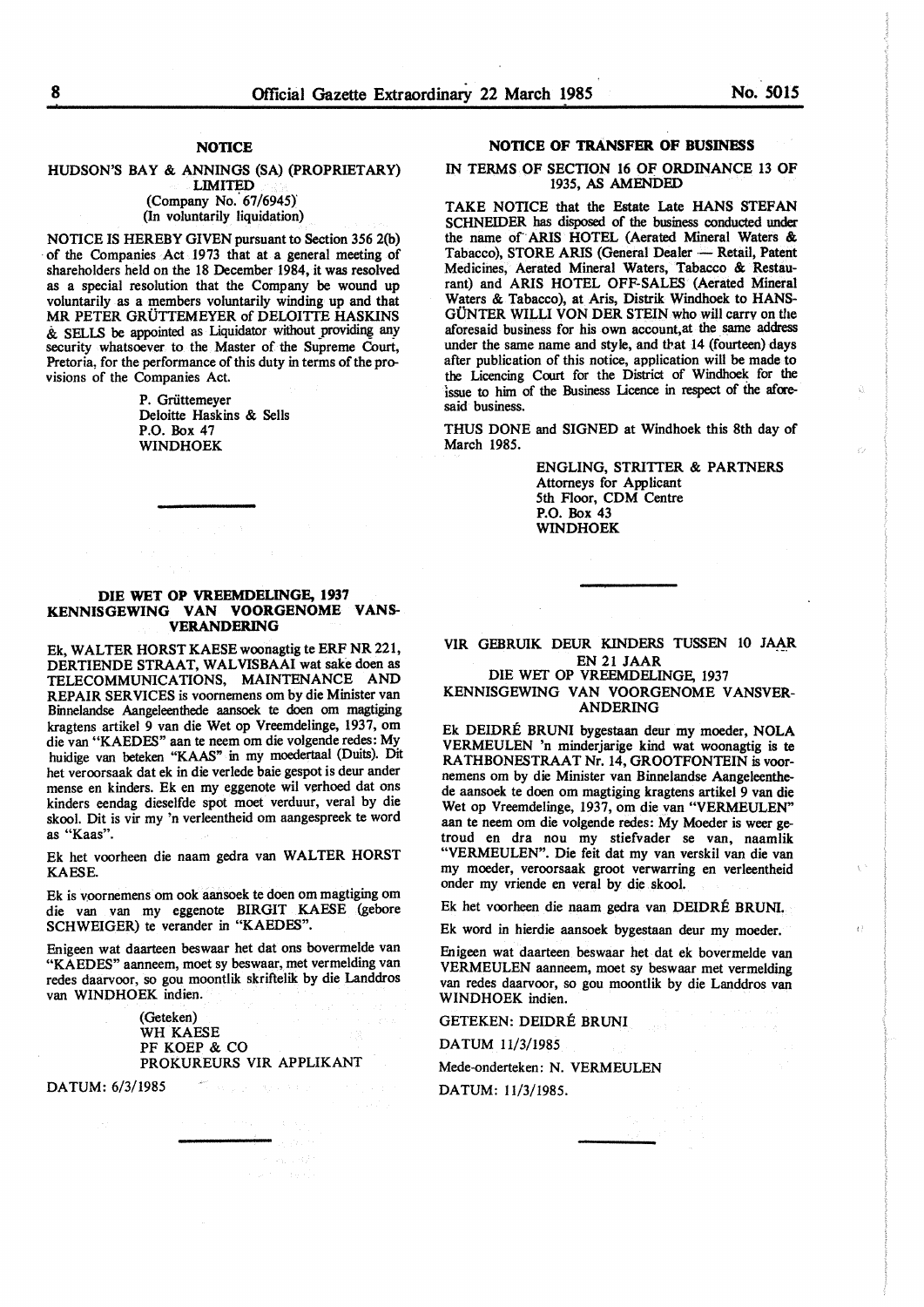## **NOTICE**

#### HUDSON'S BAY & ANNINGS (SA) (PROPRIETARY) LIMITED (Company No. 67/6945)

(In voluntarily liquidation)

NOTICE IS HEREBY GIVEN pursuant to Section 356 2(b) of the Companies Act 1973 that at a general meeting of shareholders held on the 18 December 1984, it was resolved as a special resolution that the Company be wound up voluntarily as a members voluntarily winding up and that MR PETER GRUTTEMEYER of DELOITTE **HASKINS**   $\&$  SELLS be appointed as Liquidator without providing any security whatsoever to the Master of the Supreme Court, Pretoria, for the performance of this duty in terms of the provisions of the Companies Act.

> P. Griittemeyer Deloitte Haskins & Sells P.O. Box 47 **WINDHOEK**

### **DIE WET OP VREEMDELINGE, 1937 KENNISGBWING VAN VOORGBNOMB VANS-VERANDERING**

Ek, WALTER HORST KAESE woonagtig te ERP NR 221, DERTIENDE STRAAT, WALVISBAAI wat sake doen as TELECOMMUNICATIONS, MAINTENANCE AND REPAIR SER VICES is voornemens om by die Minister van Binnelandse Aangeleenthede aansoek te doen om magtiging kragtens artikel 9 van die Wet op Vreemdelinge, 1937, om die van "KAEDES" aan te neem om die volgende redes: My huidige van beteken "KAAS" in my moedertaal (Duits). Dit bet veroorsaak dat ek in die verlede baie gespot is deur antler mense en kinders. Ek en my eggenote wil verhoed dat ons kinders eendag dieselfde spot moet verduur, veral by die skool. Dit is vir my 'n verleentheid om aangespreek te word as "Kaas".

Ek bet voorheen die naam gedra van **WALTER HORST**  KAESE.

Ek is voornemens om ook aansoek te doen om magtiging om die van van my eggenote BIRGIT KAESE (gebore SCHWEIGER) te verander in "KAEDES".

Enigeen wat daarteen beswaar bet dat ons bovermelde van "KAEDES" aanneem, moet sy beswaar, met vermelding van redes daarvoor, so gou moontlik skriftelik by die Landdros van WINDHOEK indien.

> (Geteken) WH KAESE PF KOEP & CO PROKUREURS VIR APPLIKANT

DA TUM: 6/3/1985

### **NOTICE OF TRANSFER OF BUSINESS**

### IN TERMS OF SECTION 16 OF ORDINANCE 13 OF 1935, AS AMENDED

TAKE NOTICE that the Estate Late HANS STEFAN SCHNEIDER has disposed of the business conducted under the name of ARIS HOTEL (Aerated Mineral Waters & Tabacco), STORE ARIS (General Dealer - Retail, Patent Medicines, Aerated Mineral Waters, Tabacco & Restaurant) and ARIS HOTEL OFF-SALES (Aerated Mineral Waters & Tabacco), at Aris, Distrik Windhoek to HANS-GÜNTER WILLI VON DER STEIN who will carry on the aforesaid business for his own account,at the same address under the same name and style, and that 14 (fourteen) days after publication of this notice, application will be made to the Licencing Court for the District of Windhoek for the issue to him of the Business Licence in respect of the aforesaid business.

THUS DONE and SIGNED at Windhoek this 8th day of March 1985.

> ENGLING, STRITTER & PARTNERS Attorneys for Applicant 5th Floor, COM Centre P.O. Box 43 WINDHOEK

### VIR GEBRUIK DEUR KINDERS TUSSEN 10 JAAR EN 21 **JAAR**

DIE WEf OP VREEMDELINGE, 1937 KENNISGEWING VAN VOORGENOME V ANSVER-

ANDERING

Ek DEIDRE BRUNI bygestaan deur my moeder, NOLA VERMEULEN 'n minderjarige kind wat woonagtig is te RATHBONESTRAAT Nr. 14, GROOTFONTEIN is voornemens om by die Minister van Binnelandse Aangeleenthede aansoek te doen om magtiging kragtens artikel 9 van die Wet op Vreemdelinge, 1937, om die van "VERMEULEN" aan te neem om die volgende redes: My Moeder is weer getroud en dra nou my stiefvader se van, naamlik "VERMEULEN". Die feit dat my van verskil van die van my moeder, veroorsaak groot verwarring en verleentheid onder my vriende en veral by die skool.

Ek bet voorheen die naam gedra van DEIDRE BRUNI.

Đ

Ek word in hierdie aansoek bygestaan deur my moeder.

Enigeen wat daarteen beswaar het dat ek bovermelde van VERMEULEN aanneem, moet sy beswaar met vermelding van redes daarvoor, so gou moontlik by die Landdros van WINDHOEK indien.

GETEKEN: DEIDRE BRUNI

DATUM 11/3/1985

Mede-onderteken: N. VERMEULEN

DATUM: 11/3/1985.